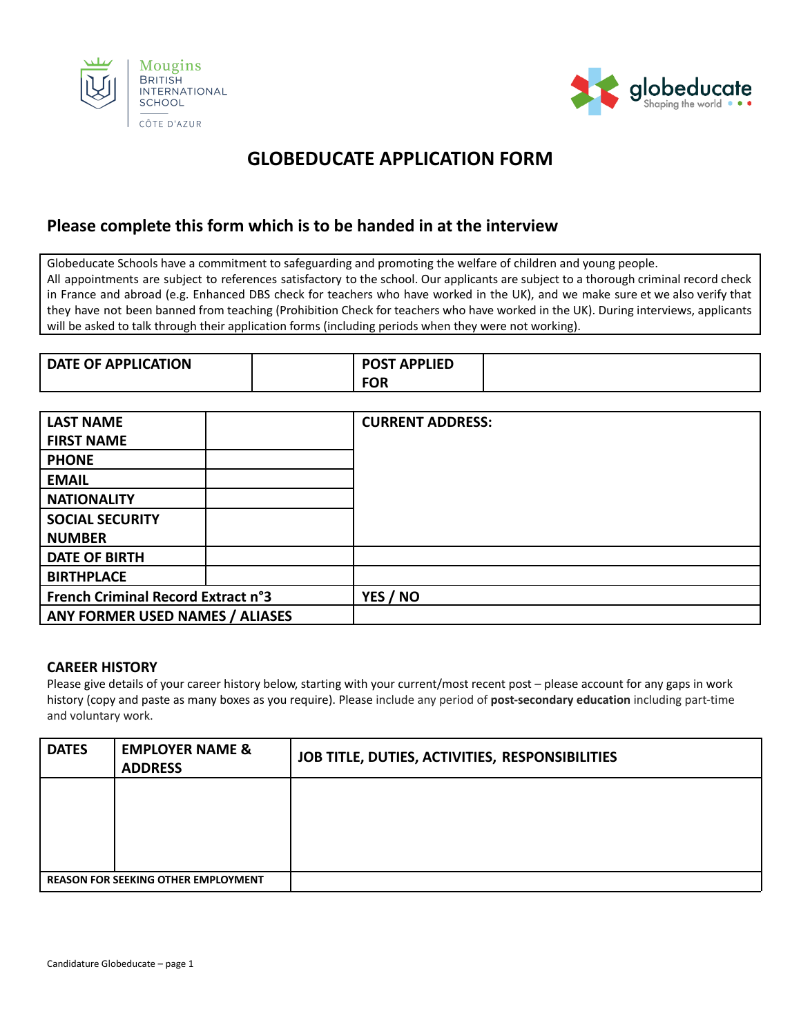



# **GLOBEDUCATE APPLICATION FORM**

# **Please complete this form which is to be handed in at the interview**

Globeducate Schools have a commitment to safeguarding and promoting the welfare of children and young people. All appointments are subject to references satisfactory to the school. Our applicants are subject to a thorough criminal record check in France and abroad (e.g. Enhanced DBS check for teachers who have worked in the UK), and we make sure et we also verify that they have not been banned from teaching (Prohibition Check for teachers who have worked in the UK). During interviews, applicants will be asked to talk through their application forms (including periods when they were not working).

| <b>DATE OF APPLICATION</b> | <b>POST APPLIED</b> |  |
|----------------------------|---------------------|--|
|                            | <b>FOR</b>          |  |

| <b>LAST NAME</b>                          | <b>CURRENT ADDRESS:</b> |
|-------------------------------------------|-------------------------|
| <b>FIRST NAME</b>                         |                         |
| <b>PHONE</b>                              |                         |
| <b>EMAIL</b>                              |                         |
| <b>NATIONALITY</b>                        |                         |
| <b>SOCIAL SECURITY</b>                    |                         |
| <b>NUMBER</b>                             |                         |
| <b>DATE OF BIRTH</b>                      |                         |
| <b>BIRTHPLACE</b>                         |                         |
| <b>French Criminal Record Extract n°3</b> | YES / NO                |
| ANY FORMER USED NAMES / ALIASES           |                         |

#### **CAREER HISTORY**

Please give details of your career history below, starting with your current/most recent post – please account for any gaps in work history (copy and paste as many boxes as you require). Please include any period of **post-secondary education** including part-time and voluntary work.

| <b>DATES</b> | <b>EMPLOYER NAME &amp;</b><br><b>ADDRESS</b> | JOB TITLE, DUTIES, ACTIVITIES, RESPONSIBILITIES |  |
|--------------|----------------------------------------------|-------------------------------------------------|--|
|              |                                              |                                                 |  |
|              |                                              |                                                 |  |
|              |                                              |                                                 |  |
|              | <b>REASON FOR SEEKING OTHER EMPLOYMENT</b>   |                                                 |  |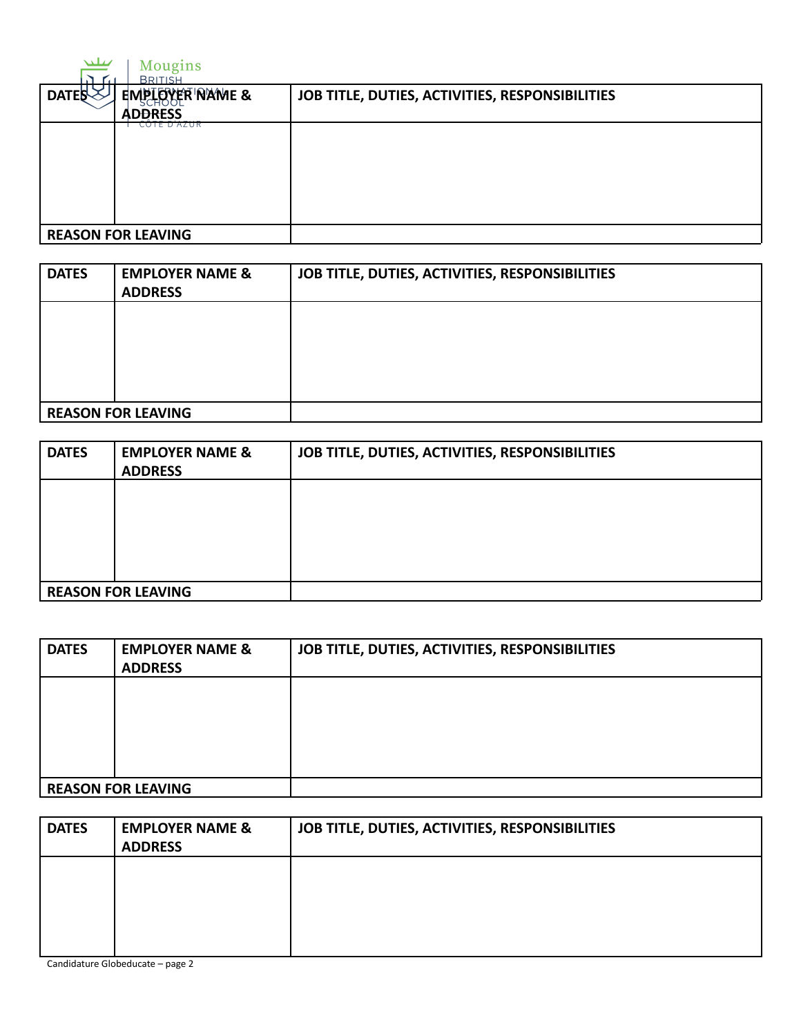| تتللح        | Mougins<br><b>BRITISH</b>         |                                                 |
|--------------|-----------------------------------|-------------------------------------------------|
| <b>DATES</b> | EMPLOYER NAME &<br><b>ADDRESS</b> | JOB TITLE, DUTIES, ACTIVITIES, RESPONSIBILITIES |
|              | CUTE D'AZUR                       |                                                 |
|              |                                   |                                                 |
|              |                                   |                                                 |
|              |                                   |                                                 |
|              | <b>REASON FOR LEAVING</b>         |                                                 |

| <b>DATES</b> | <b>EMPLOYER NAME &amp;</b><br><b>ADDRESS</b> | JOB TITLE, DUTIES, ACTIVITIES, RESPONSIBILITIES |
|--------------|----------------------------------------------|-------------------------------------------------|
|              |                                              |                                                 |
|              |                                              |                                                 |
|              |                                              |                                                 |
|              | <b>REASON FOR LEAVING</b>                    |                                                 |

| <b>DATES</b> | <b>EMPLOYER NAME &amp;</b><br><b>ADDRESS</b> | JOB TITLE, DUTIES, ACTIVITIES, RESPONSIBILITIES |
|--------------|----------------------------------------------|-------------------------------------------------|
|              |                                              |                                                 |
|              |                                              |                                                 |
|              |                                              |                                                 |
|              | <b>REASON FOR LEAVING</b>                    |                                                 |

| <b>DATES</b> | <b>EMPLOYER NAME &amp;</b><br><b>ADDRESS</b> | JOB TITLE, DUTIES, ACTIVITIES, RESPONSIBILITIES |
|--------------|----------------------------------------------|-------------------------------------------------|
|              |                                              |                                                 |
|              |                                              |                                                 |
|              |                                              |                                                 |
|              | <b>REASON FOR LEAVING</b>                    |                                                 |

| <b>DATES</b> | <b>EMPLOYER NAME &amp;</b><br><b>ADDRESS</b> | JOB TITLE, DUTIES, ACTIVITIES, RESPONSIBILITIES |  |
|--------------|----------------------------------------------|-------------------------------------------------|--|
|              |                                              |                                                 |  |
|              |                                              |                                                 |  |

Candidature Globeducate – page 2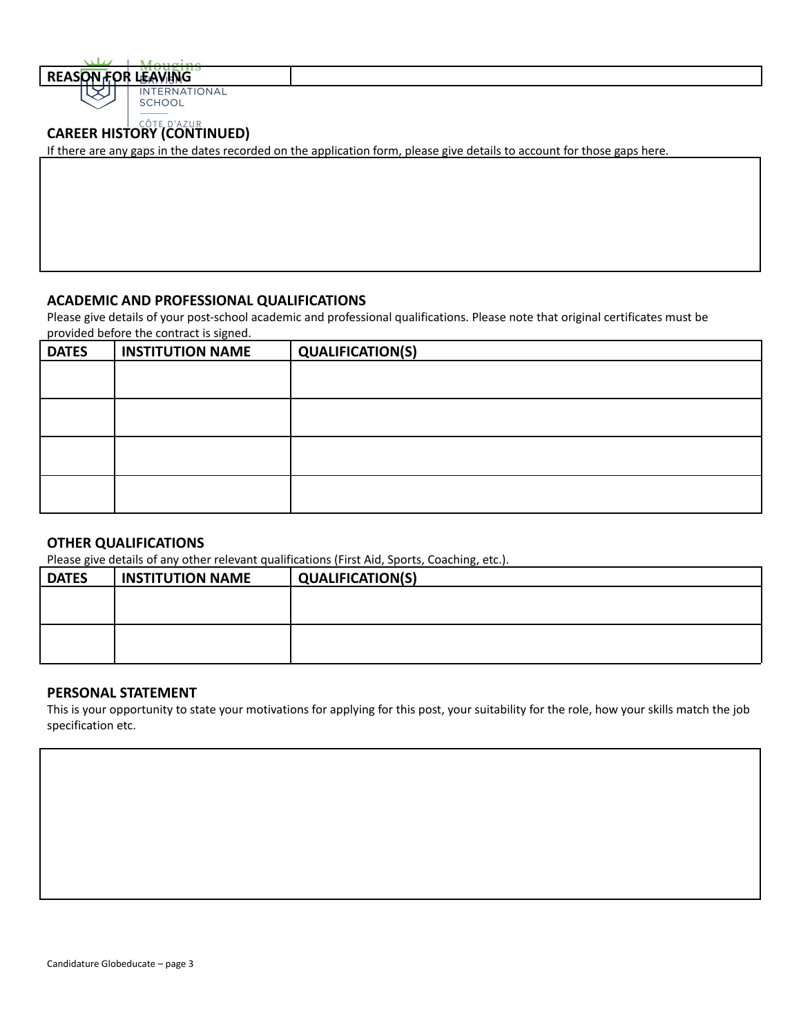**REASON FOR LEAVING SCHOOL** 

# **CAREER HISTORY (CONTINUED)**

If there are any gaps in the dates recorded on the application form, please give details to account for those gaps here.

### **ACADEMIC AND PROFESSIONAL QUALIFICATIONS**

Please give details of your post-school academic and professional qualifications. Please note that original certificates must be provided before the contract is signed.

| <b>DATES</b> | <b>INSTITUTION NAME</b> | <b>QUALIFICATION(S)</b> |
|--------------|-------------------------|-------------------------|
|              |                         |                         |
|              |                         |                         |
|              |                         |                         |
|              |                         |                         |
|              |                         |                         |
|              |                         |                         |
|              |                         |                         |
|              |                         |                         |

#### **OTHER QUALIFICATIONS**

Please give details of any other relevant qualifications (First Aid, Sports, Coaching, etc.).

| <b>INSTITUTION NAME</b> | <b>QUALIFICATION(S)</b> |
|-------------------------|-------------------------|
|                         |                         |
|                         |                         |
|                         |                         |
|                         |                         |
|                         |                         |

#### **PERSONAL STATEMENT**

This is your opportunity to state your motivations for applying for this post, your suitability for the role, how your skills match the job specification etc.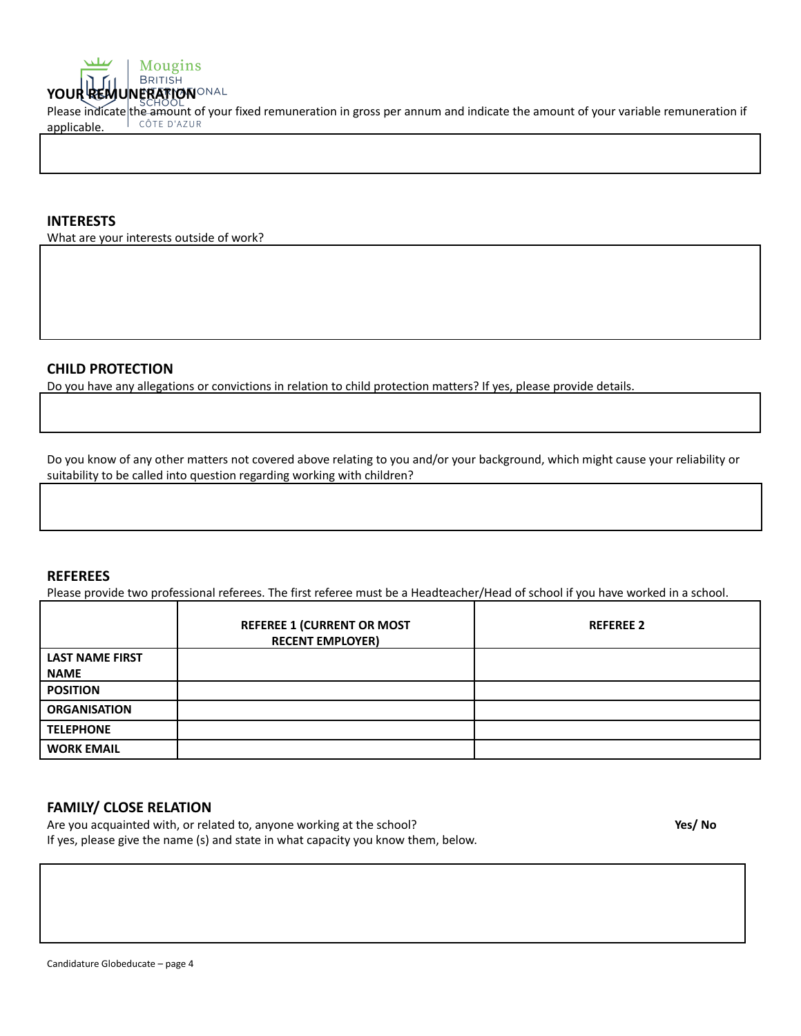

Please indicate the amount of your fixed remuneration in gross per annum and indicate the amount of your variable remuneration if annicale applicable.

#### **INTERESTS**

What are your interests outside of work?

#### **CHILD PROTECTION**

Do you have any allegations or convictions in relation to child protection matters? If yes, please provide details.

Do you know of any other matters not covered above relating to you and/or your background, which might cause your reliability or suitability to be called into question regarding working with children?

#### **REFEREES**

Please provide two professional referees. The first referee must be a Headteacher/Head of school if you have worked in a school.

|                        | <b>REFEREE 1 (CURRENT OR MOST</b><br><b>RECENT EMPLOYER)</b> | <b>REFEREE 2</b> |
|------------------------|--------------------------------------------------------------|------------------|
| <b>LAST NAME FIRST</b> |                                                              |                  |
| <b>NAME</b>            |                                                              |                  |
| <b>POSITION</b>        |                                                              |                  |
| <b>ORGANISATION</b>    |                                                              |                  |
| <b>TELEPHONE</b>       |                                                              |                  |
| <b>WORK EMAIL</b>      |                                                              |                  |

#### **FAMILY/ CLOSE RELATION**

Are you acquainted with, or related to, anyone working at the school? If yes, please give the name (s) and state in what capacity you know them, below. **Yes/ No**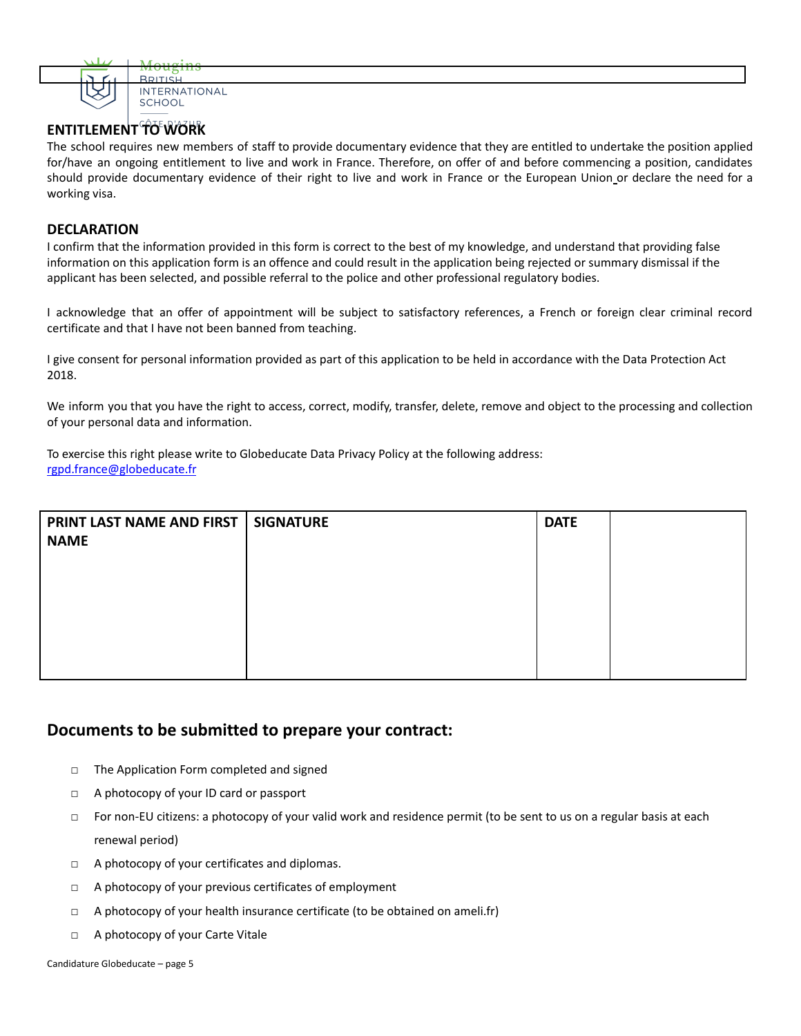

## **ENTITLEMENT TO WORK**

The school requires new members of staff to provide documentary evidence that they are entitled to undertake the position applied for/have an ongoing entitlement to live and work in France. Therefore, on offer of and before commencing a position, candidates should provide documentary evidence of their right to live and work in France or the European Union or declare the need for a working visa.

#### **DECLARATION**

I confirm that the information provided in this form is correct to the best of my knowledge, and understand that providing false information on this application form is an offence and could result in the application being rejected or summary dismissal if the applicant has been selected, and possible referral to the police and other professional regulatory bodies.

I acknowledge that an offer of appointment will be subject to satisfactory references, a French or foreign clear criminal record certificate and that I have not been banned from teaching.

I give consent for personal information provided as part of this application to be held in accordance with the Data Protection Act 2018.

We inform you that you have the right to access, correct, modify, transfer, delete, remove and object to the processing and collection of your personal data and information.

To exercise this right please write to Globeducate Data Privacy Policy at the following address: [rgpd.france@globeducate.fr](mailto:rgpd.france@globeducate.fr)

| PRINT LAST NAME AND FIRST | <b>SIGNATURE</b> | <b>DATE</b> |  |
|---------------------------|------------------|-------------|--|
| <b>NAME</b>               |                  |             |  |
|                           |                  |             |  |
|                           |                  |             |  |
|                           |                  |             |  |
|                           |                  |             |  |
|                           |                  |             |  |

# **Documents to be submitted to prepare your contract:**

- □ The Application Form completed and signed
- □ A photocopy of your ID card or passport
- □ For non-EU citizens: a photocopy of your valid work and residence permit (to be sent to us on a regular basis at each renewal period)
- □ A photocopy of your certificates and diplomas.
- □ A photocopy of your previous certificates of employment
- $\Box$  A photocopy of your health insurance certificate (to be obtained on ameli.fr)
- □ A photocopy of your Carte Vitale